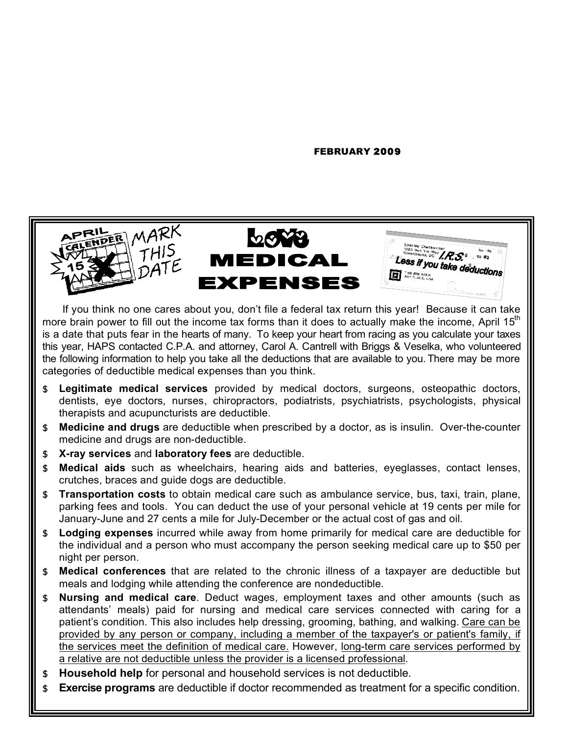#### FEBRUARY 2009

ll

a

s

m

a

n

y

a

s

11

ll

||

,

||

||

||

p



If you think no one cares about you, don't file a federal tax return this year! Because it can take more brain power to fill out the income tax forms than it does to actually make the income, April 15<sup>th</sup> is a date that puts fear in the hearts of many. To keep your heart from racing as you calculate your taxes this year, HAPS contacted C.P.A. and attorney, Carol A. Cantrell with Briggs & Veselka, who volunteered the following information to help you take all the deductions that are available to you. There may be more categories of deductible medical expenses than you think.

- \$ **Legitimate medical services** provided by medical doctors, surgeons, osteopathic doctors, dentists, eye doctors, nurses, chiropractors, podiatrists, psychiatrists, psychologists, physical therapists and acupuncturists are deductible.
- \$ **Medicine and drugs** are deductible when prescribed by a doctor, as is insulin. Over-the-counter medicine and drugs are non-deductible.
- \$ **X-ray services** and **laboratory fees** are deductible.
- \$ **Medical aids** such as wheelchairs, hearing aids and batteries, eyeglasses, contact lenses, crutches, braces and guide dogs are deductible.
- \$ **Transportation costs** to obtain medical care such as ambulance service, bus, taxi, train, plane, parking fees and tools. You can deduct the use of your personal vehicle at 19 cents per mile for January-June and 27 cents a mile for July-December or the actual cost of gas and oil.
- \$ **Lodging expenses** incurred while away from home primarily for medical care are deductible for the individual and a person who must accompany the person seeking medical care up to \$50 per night per person.
- \$ **Medical conferences** that are related to the chronic illness of a taxpayer are deductible but meals and lodging while attending the conference are nondeductible.
- \$ **Nursing and medical care**. Deduct wages, employment taxes and other amounts (such as attendants' meals) paid for nursing and medical care services connected with caring for a patient's condition. This also includes help dressing, grooming, bathing, and walking. Care can be provided by any person or company, including a member of the taxpayer's or patient's family, if the services meet the definition of medical care. However, long-term care services performed by a relative are not deductible unless the provider is a licensed professional.
- \$ **Household help** for personal and household services is not deductible.
- **Exercise programs** are deductible if doctor recommended as treatment for a specific condition.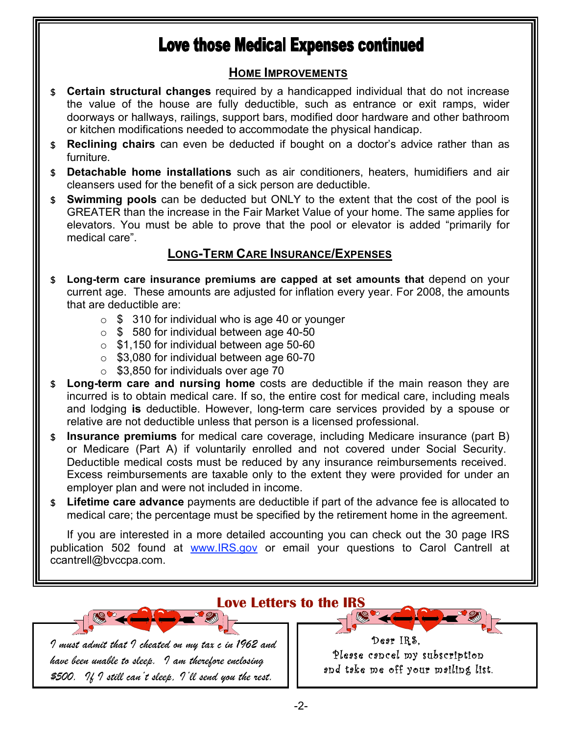# **Love those Medical Expenses continued**

### **HOME IMPROVEMENTS**

- \$ **Certain structural changes** required by a handicapped individual that do not increase the value of the house are fully deductible, such as entrance or exit ramps, wider doorways or hallways, railings, support bars, modified door hardware and other bathroom or kitchen modifications needed to accommodate the physical handicap.
- \$ **Reclining chairs** can even be deducted if bought on a doctor's advice rather than as furniture.
- \$ **Detachable home installations** such as air conditioners, heaters, humidifiers and air cleansers used for the benefit of a sick person are deductible.
- \$ **Swimming pools** can be deducted but ONLY to the extent that the cost of the pool is GREATER than the increase in the Fair Market Value of your home. The same applies for elevators. You must be able to prove that the pool or elevator is added "primarily for medical care".

### **LONG-TERM CARE INSURANCE/EXPENSES**

- \$ **Long-term care insurance premiums are capped at set amounts that** depend on your current age. These amounts are adjusted for inflation every year. For 2008, the amounts that are deductible are:
	- $\circ$  \$ 310 for individual who is age 40 or younger
	- o \$ 580 for individual between age 40-50
	- $\circ$  \$1,150 for individual between age 50-60
	- $\circ$  \$3,080 for individual between age 60-70
	- $\circ$  \$3,850 for individuals over age 70

- \$ **Long-term care and nursing home** costs are deductible if the main reason they are incurred is to obtain medical care. If so, the entire cost for medical care, including meals and lodging **is** deductible. However, long-term care services provided by a spouse or relative are not deductible unless that person is a licensed professional.
- \$ **Insurance premiums** for medical care coverage, including Medicare insurance (part B) or Medicare (Part A) if voluntarily enrolled and not covered under Social Security. Deductible medical costs must be reduced by any insurance reimbursements received. Excess reimbursements are taxable only to the extent they were provided for under an employer plan and were not included in income.
- \$ **Lifetime care advance** payments are deductible if part of the advance fee is allocated to medical care; the percentage must be specified by the retirement home in the agreement.

If you are interested in a more detailed accounting you can check out the 30 page IRS publication 502 found at www.IRS.gov or email your questions to Carol Cantrell at ccantrell@bvccpa.com.

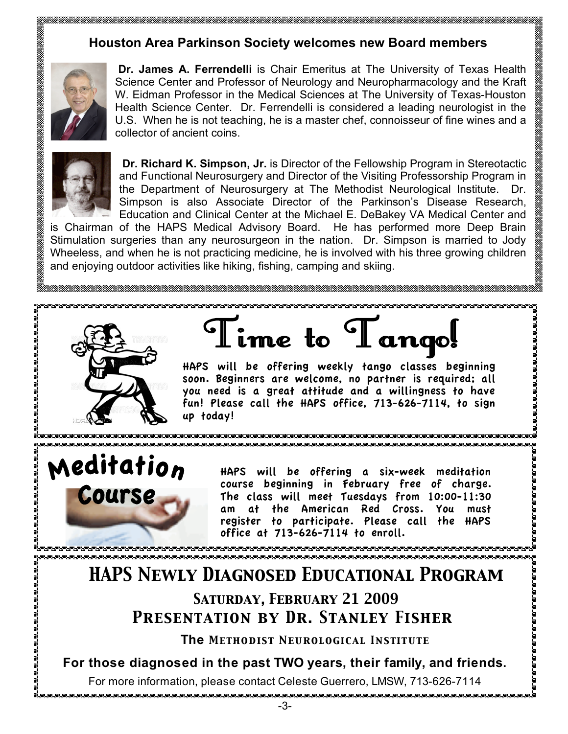### **Houston Area Parkinson Society welcomes new Board members**



**Dr. James A. Ferrendelli** is Chair Emeritus at The University of Texas Health Science Center and Professor of Neurology and Neuropharmacology and the Kraft W. Eidman Professor in the Medical Sciences at The University of Texas-Houston Health Science Center. Dr. Ferrendelli is considered a leading neurologist in the U.S. When he is not teaching, he is a master chef, connoisseur of fine wines and a collector of ancient coins.



**Dr. Richard K. Simpson, Jr.** is Director of the Fellowship Program in Stereotactic and Functional Neurosurgery and Director of the Visiting Professorship Program in the Department of Neurosurgery at The Methodist Neurological Institute. Dr. Simpson is also Associate Director of the Parkinson's Disease Research, Education and Clinical Center at the Michael E. DeBakey VA Medical Center and

is Chairman of the HAPS Medical Advisory Board. He has performed more Deep Brain Stimulation surgeries than any neurosurgeon in the nation. Dr. Simpson is married to Jody Wheeless, and when he is not practicing medicine, he is involved with his three growing children and enjoying outdoor activities like hiking, fishing, camping and skiing.



Meditation

Course

**PERSONAL PROPERTY AND RESIDENCE** 

ime to I ango!

HAPS will be offering weekly tango classes beginning soon. Beginners are welcome, no partner is required; all you need is a great attitude and a willingness to have fun! Please call the HAPS office, 713-626-7114, to sign up today!

anananananananananananana

> HAPS will be offering a six-week meditation course beginning in February free of charge. The class will meet Tuesdays from 10:00-11:30 am at the American Red Cross. You must register to participate. Please call the HAPS office at 713-626-7114 to enroll.

> > മാരാരാരാരാരാരാരാരാരാരാ

## *HAPS Newly Diagnosed Educational Program Saturday, February 21 2009*

# *Presentation by Dr. Stanley Fisher*

**The** *Methodist Neurological Institute*

**For those diagnosed in the past TWO years, their family, and friends.**

For more information, please contact Celeste Guerrero, LMSW, 713-626-7114

ta tanan tanan tanan tanan tanan tanan tanan tanan tanan tanan tanan tanan tanan tana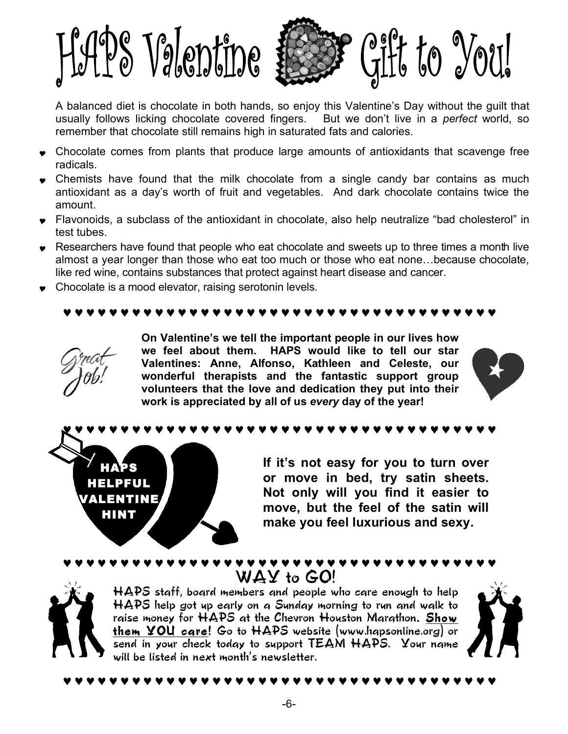

 A balanced diet is chocolate in both hands, so enjoy this Valentine's Day without the guilt that usually follows licking chocolate covered fingers. But we don't live in a *perfect* world, so remember that chocolate still remains high in saturated fats and calories.

- .<br>. • Chocolate comes from plants that produce large amounts of antioxidants that scavenge free radicals  $\overline{a}$ radicals.
- $\bullet$  Chemists have found that the milk chocolate from a single candy bar contains as much exiterial that the unit of finite and uses the contained the contained that the state of finite and uses the contained the containe antioxidant as a day's worth of fruit and vegetables. And dark chocolate contains twice the amount.
- Flavonoids, a subclass of the antioxidant in chocolate, also help neutralize "bad cholesterol" in test tubes.
- Researchers have found that people who eat chocolate and sweets up to three times a month live almost a year longer than those who eat too much or those who eat none…because chocolate, like red wine, contains substances that protect against heart disease and cancer.
- Chocolate is a mood elevator, raising serotonin levels.

### ♥ ♥ ♥ ♥ ♥ ♥ ♥ ♥ ♥ ♥ ♥ ♥ ♥ ♥ ♥ ♥ ♥ ♥ ♥ ♥ ♥ ♥ ♥ ♥ ♥ ♥ ♥ ♥ ♥ ♥ ♥ ♥ ♥ ♥ ♥ ♥ ♥ ♥

HAPS HELPFUL VALENTINE HINT

**On Valentine's we tell the important people in our lives how we feel about them. HAPS would like to tell our star Valentines: Anne, Alfonso, Kathleen and Celeste, our wonderful therapists and the fantastic support group volunteers that the love and dedication they put into their work is appreciated by all of us** *every* **day of the year!**



♥ ♥ ♥ ♥ ♥ ♥ ♥ ♥ ♥ ♥ ♥ ♥ ♥ ♥ ♥ ♥ ♥ ♥ ♥ ♥ ♥ ♥ ♥ ♥ ♥ ♥ ♥ ♥ ♥ ♥ ♥ ♥ ♥ ♥ ♥ ♥ ♥ ♥

**If it's not easy for you to turn over or move in bed, try satin sheets. Not only will you find it easier to move, but the feel of the satin will make you feel luxurious and sexy.** 



WAY to GO! HAPS staff, board members and people who care enough to help HAPS help got up early on a Sunday morning to run and walk to raise money for HAPS at the Chevron Houston Marathon. Show them YOU care! Go to HAPS website (www.hapsonline.org) or send in your check today to support TEAM HAPS. Your name will be listed in next month's newsletter.

♥ ♥ ♥ ♥ ♥ ♥ ♥ ♥ ♥ ♥ ♥ ♥ ♥ ♥ ♥ ♥ ♥ ♥ ♥ ♥ ♥ ♥ ♥ ♥ ♥ ♥ ♥ ♥ ♥ ♥ ♥ ♥ ♥ ♥ ♥ ♥ ♥ ♥



♥ ♥ ♥ ♥ ♥ ♥ ♥ ♥ ♥ ♥ ♥ ♥ ♥ ♥ ♥ ♥ ♥ ♥ ♥ ♥ ♥ ♥ ♥ ♥ ♥ ♥ ♥ ♥ ♥ ♥ ♥ ♥ ♥ ♥ ♥ ♥ ♥ ♥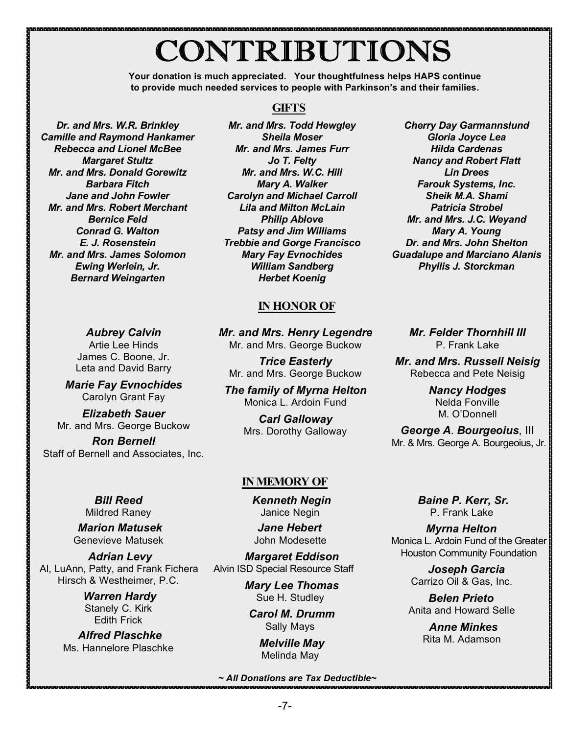# CONTRIBUTIONS

**Your donation is much appreciated. Your thoughtfulness helps HAPS continue to provide much needed services to people with Parkinson's and their families.**

*Dr. and Mrs. W.R. Brinkley Camille and Raymond Hankamer Rebecca and Lionel McBee Margaret Stultz Mr. and Mrs. Donald Gorewitz Barbara Fitch Jane and John Fowler Mr. and Mrs. Robert Merchant Bernice Feld Conrad G. Walton E. J. Rosenstein Mr. and Mrs. James Solomon Ewing Werlein, Jr. Bernard Weingarten*

### *Mr. and Mrs. Todd Hewgley Sheila Moser Mr. and Mrs. James Furr Jo T. Felty Mr. and Mrs. W.C. Hill Mary A. Walker Carolyn and Michael Carroll Lila and Milton McLain*

**GIFTS**

*Philip Ablove Patsy and Jim Williams Trebbie and Gorge Francisco Mary Fay Evnochides William Sandberg Herbet Koenig*

### **IN HONOR OF**

*Mr. and Mrs. Henry Legendre* Mr. and Mrs. George Buckow

*Trice Easterly* Mr. and Mrs. George Buckow

*The family of Myrna Helton* Monica L. Ardoin Fund

> *Carl Galloway* Mrs. Dorothy Galloway

### **IN MEMORY OF**

*Kenneth Negin* Janice Negin

*Jane Hebert* John Modesette

*Margaret Eddison* Alvin ISD Special Resource Staff

> *Mary Lee Thomas* Sue H. Studley

 *Carol M. Drumm* Sally Mays

> *Melville May* Melinda May

### *~ All Donations are Tax Deductible~*

*Cherry Day Garmannslund Gloria Joyce Lea Hilda Cardenas Nancy and Robert Flatt Lin Drees Farouk Systems, Inc. Sheik M.A. Shami Patricia Strobel Mr. and Mrs. J.C. Weyand Mary A. Young Dr. and Mrs. John Shelton Guadalupe and Marciano Alanis Phyllis J. Storckman*

> *Mr. Felder Thornhill III* P. Frank Lake

*Mr. and Mrs. Russell Neisig* Rebecca and Pete Neisig

> *Nancy Hodges* Nelda Fonville M. O'Donnell

*George A*. *Bourgeoius*, III Mr. & Mrs. George A. Bourgeoius, Jr.

> *Baine P. Kerr, Sr.* P. Frank Lake

 *Myrna Helton* Monica L. Ardoin Fund of the Greater Houston Community Foundation

> *Joseph Garcia* Carrizo Oil & Gas, Inc.

*Belen Prieto* Anita and Howard Selle

> *Anne Minkes* Rita M. Adamson

*Aubrey Calvin* Artie Lee Hinds James C. Boone, Jr. Leta and David Barry

*Marie Fay Evnochides* Carolyn Grant Fay

*Elizabeth Sauer* Mr. and Mrs. George Buckow

*Ron Bernell* Staff of Bernell and Associates, Inc.

> *Bill Reed* Mildred Raney

 *Marion Matusek* Genevieve Matusek

*Adrian Levy* Al, LuAnn, Patty, and Frank Fichera Hirsch & Westheimer, P.C.

> *Warren Hardy* Stanely C. Kirk Edith Frick

 *Alfred Plaschke* Ms. Hannelore Plaschke